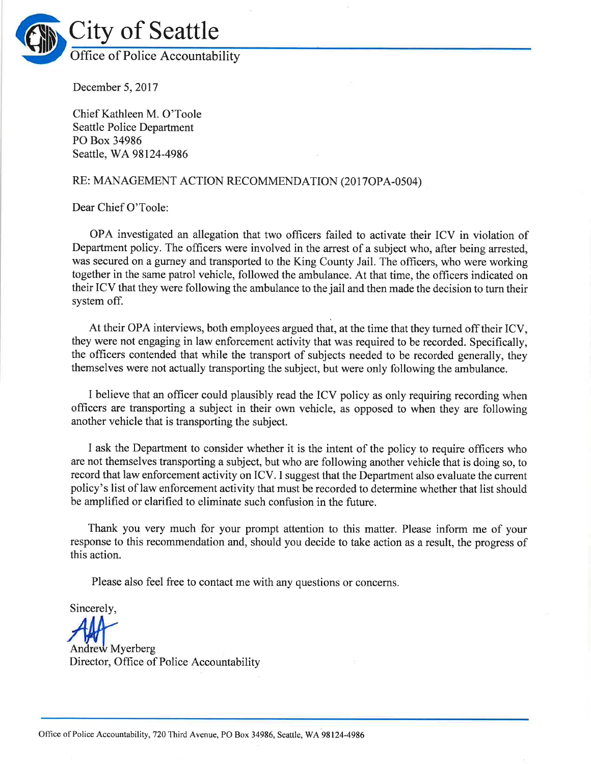

December 5, 2017

Chief Kathleen M. O'Toole Seattle Police Department PO Box 34986 Seattle, WA 98124-4986

## RE: MANAGEMENT ACTION RECOMMENDATION (2017OPA-0504)

Dear Chief O'Toole:

OPA investigated an allegation that two officers failed to activate their ICV in violation of Department policy. The officers were involved in the arrest of a subject who, after being arrested, was secured on a gurney and transported to the King County Jail. The officers, who were working together in the same patrol vehicle, followed the ambulance. At that time, the officers indicated on their ICV that they were following the ambulance to the jail and then made the decision to tum their system off.

At their OPA interviews, both employees argued that, at the time that they turned off their ICV, they were not engaging in law enforcement activity that was required to be recorded. Specifically, the officers contended that while the transport of subjects needed to be recorded generally, they themselves were not actually transporting the subject, but were only following the ambulance.

I believe that an officer could plausibly read the ICV policy as only requiring recording when officers are transporting a subject in their own vehicle, as opposed to when they are following another vehicle that is transporting the subject.

I ask the Department to consider whether it is the intent of the policy to require officers who are not themselves transporting a subject, but who are following another vehicle that is doing so, to record that law enforcement activity on ICV. I suggest that the Department also evaluate the current policy's list of law enforcement activity that must be recorded to determine whether that list should be amplified or clarified to eliminate such confusion in the future.

Thank you very much for your prompt attention to this matter. Please inform me of your response to this recommendation and, should you decide to take action as a result, the progress of this action.

Please also feel free to contact me with any questions or concerns.

Sincerely,

Andrew Myerberg

Director, Office of Police Accountability